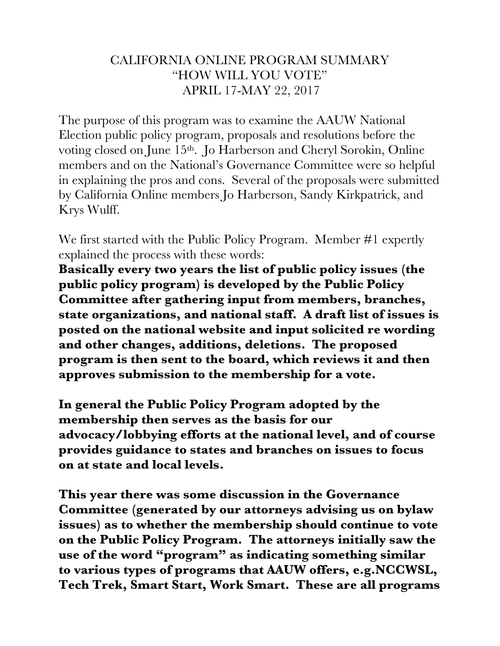## CALIFORNIA ONLINE PROGRAM SUMMARY "HOW WILL YOU VOTE" APRIL 17-MAY 22, 2017

The purpose of this program was to examine the AAUW National Election public policy program, proposals and resolutions before the voting closed on June 15th. Jo Harberson and Cheryl Sorokin, Online members and on the National's Governance Committee were so helpful in explaining the pros and cons. Several of the proposals were submitted by California Online members Jo Harberson, Sandy Kirkpatrick, and Krys Wulff.

We first started with the Public Policy Program. Member #1 expertly explained the process with these words:

**Basically every two years the list of public policy issues (the public policy program) is developed by the Public Policy Committee after gathering input from members, branches, state organizations, and national staff. A draft list of issues is posted on the national website and input solicited re wording and other changes, additions, deletions. The proposed program is then sent to the board, which reviews it and then approves submission to the membership for a vote.**

**In general the Public Policy Program adopted by the membership then serves as the basis for our advocacy/lobbying efforts at the national level, and of course provides guidance to states and branches on issues to focus on at state and local levels.**

**This year there was some discussion in the Governance Committee (generated by our attorneys advising us on bylaw issues) as to whether the membership should continue to vote on the Public Policy Program. The attorneys initially saw the use of the word "program" as indicating something similar to various types of programs that AAUW offers, e.g.NCCWSL, Tech Trek, Smart Start, Work Smart. These are all programs**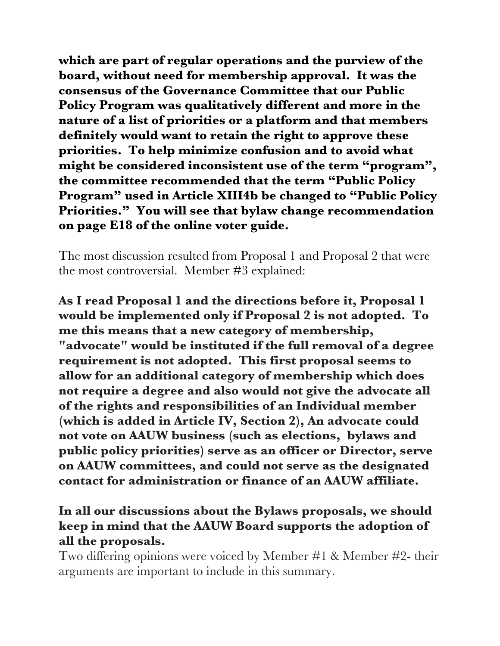**which are part of regular operations and the purview of the board, without need for membership approval. It was the consensus of the Governance Committee that our Public Policy Program was qualitatively different and more in the nature of a list of priorities or a platform and that members definitely would want to retain the right to approve these priorities. To help minimize confusion and to avoid what might be considered inconsistent use of the term "program", the committee recommended that the term "Public Policy Program" used in Article XIII4b be changed to "Public Policy Priorities." You will see that bylaw change recommendation on page E18 of the online voter guide.**

The most discussion resulted from Proposal 1 and Proposal 2 that were the most controversial. Member #3 explained:

**As I read Proposal 1 and the directions before it, Proposal 1 would be implemented only if Proposal 2 is not adopted. To me this means that a new category of membership, "advocate" would be instituted if the full removal of a degree requirement is not adopted. This first proposal seems to allow for an additional category of membership which does not require a degree and also would not give the advocate all of the rights and responsibilities of an Individual member (which is added in Article IV, Section 2), An advocate could not vote on AAUW business (such as elections, bylaws and public policy priorities) serve as an officer or Director, serve on AAUW committees, and could not serve as the designated contact for administration or finance of an AAUW affiliate.** 

## **In all our discussions about the Bylaws proposals, we should keep in mind that the AAUW Board supports the adoption of all the proposals.**

Two differing opinions were voiced by Member #1 & Member #2- their arguments are important to include in this summary.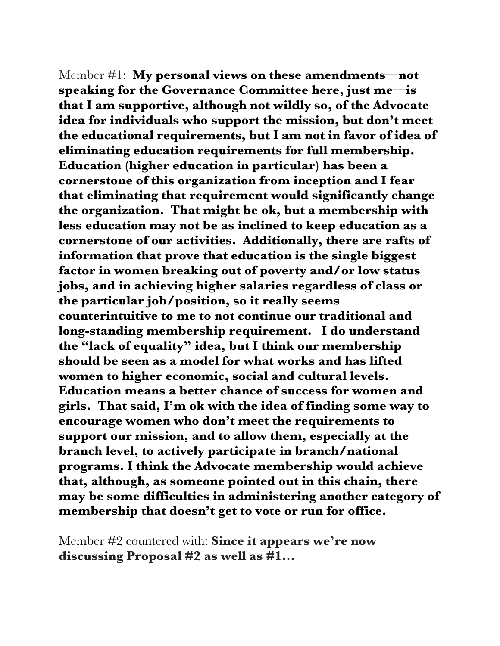Member #1: **My personal views on these amendments—not speaking for the Governance Committee here, just me—is that I am supportive, although not wildly so, of the Advocate idea for individuals who support the mission, but don't meet the educational requirements, but I am not in favor of idea of eliminating education requirements for full membership. Education (higher education in particular) has been a cornerstone of this organization from inception and I fear that eliminating that requirement would significantly change the organization. That might be ok, but a membership with less education may not be as inclined to keep education as a cornerstone of our activities. Additionally, there are rafts of information that prove that education is the single biggest factor in women breaking out of poverty and/or low status jobs, and in achieving higher salaries regardless of class or the particular job/position, so it really seems counterintuitive to me to not continue our traditional and long-standing membership requirement. I do understand the "lack of equality" idea, but I think our membership should be seen as a model for what works and has lifted women to higher economic, social and cultural levels. Education means a better chance of success for women and girls. That said, I'm ok with the idea of finding some way to encourage women who don't meet the requirements to support our mission, and to allow them, especially at the branch level, to actively participate in branch/national programs. I think the Advocate membership would achieve that, although, as someone pointed out in this chain, there may be some difficulties in administering another category of membership that doesn't get to vote or run for office.**

Member #2 countered with: **Since it appears we're now discussing Proposal #2 as well as #1...**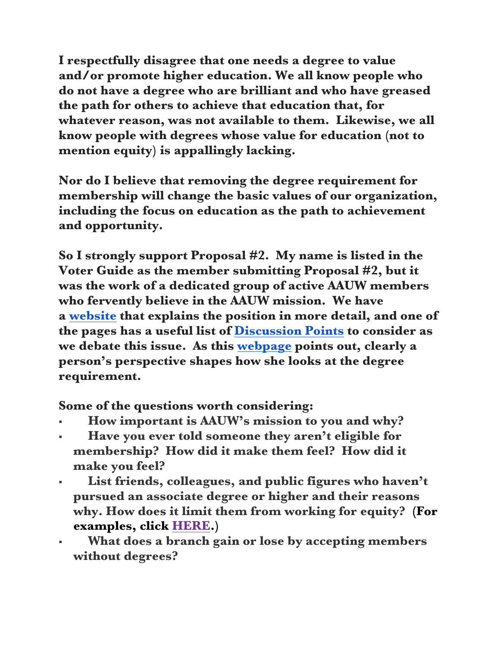**I respectfully disagree that one needs a degree to value and/or promote higher education. We all know people who do not have a degree who are brilliant and who have greased the path for others to achieve that education that, for whatever reason, was not available to them. Likewise, we all know people with degrees whose value for education (not to mention equity) is appallingly lacking.**

**Nor do I believe that removing the degree requirement for membership will change the basic values of our organization, including the focus on education as the path to achievement and opportunity.**

**So I strongly support Proposal #2. My name is listed in the Voter Guide as the member submitting Proposal #2, but it was the work of a dedicated group of active AAUW members who fervently believe in the AAUW mission. We have a website that explains the position in more detail, and one of the pages has a useful list of Discussion Points to consider as we debate this issue. As this webpage points out, clearly a person's perspective shapes how she looks at the degree requirement.**

**Some of the questions worth considering:**

- ! **How important is AAUW's mission to you and why?**
- ! **Have you ever told someone they aren't eligible for membership? How did it make them feel? How did it make you feel?**
- List friends, colleagues, and public figures who haven't **pursued an associate degree or higher and their reasons why. How does it limit them from working for equity? (For examples, click HERE.)**
- ! **What does a branch gain or lose by accepting members without degrees?**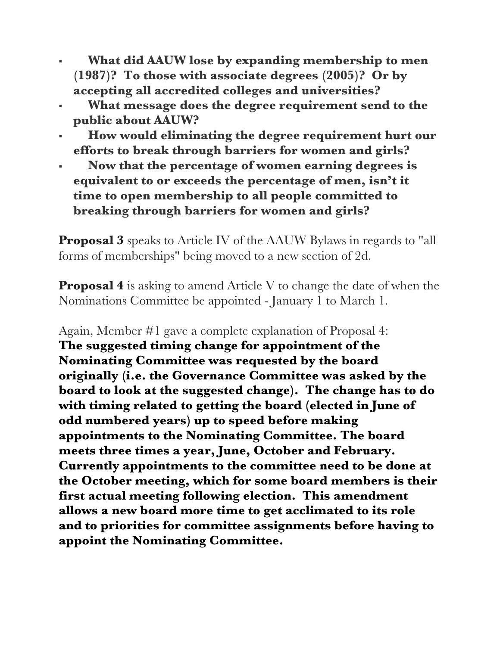- ! **What did AAUW lose by expanding membership to men (1987)? To those with associate degrees (2005)? Or by accepting all accredited colleges and universities?**
- ! **What message does the degree requirement send to the public about AAUW?**
- ! **How would eliminating the degree requirement hurt our efforts to break through barriers for women and girls?**
- ! **Now that the percentage of women earning degrees is equivalent to or exceeds the percentage of men, isn't it time to open membership to all people committed to breaking through barriers for women and girls?**

**Proposal 3** speaks to Article IV of the AAUW Bylaws in regards to "all forms of memberships" being moved to a new section of 2d.

**Proposal 4** is asking to amend Article V to change the date of when the Nominations Committee be appointed - January 1 to March 1.

Again, Member #1 gave a complete explanation of Proposal 4: **The suggested timing change for appointment of the Nominating Committee was requested by the board originally (i.e. the Governance Committee was asked by the board to look at the suggested change). The change has to do with timing related to getting the board (elected in June of odd numbered years) up to speed before making appointments to the Nominating Committee. The board meets three times a year, June, October and February. Currently appointments to the committee need to be done at the October meeting, which for some board members is their first actual meeting following election. This amendment allows a new board more time to get acclimated to its role and to priorities for committee assignments before having to appoint the Nominating Committee.**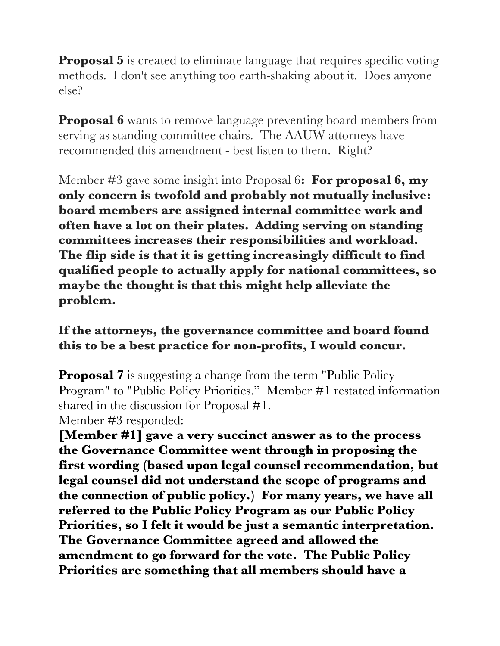**Proposal 5** is created to eliminate language that requires specific voting methods. I don't see anything too earth-shaking about it. Does anyone else?

**Proposal 6** wants to remove language preventing board members from serving as standing committee chairs. The AAUW attorneys have recommended this amendment - best listen to them. Right?

Member #3 gave some insight into Proposal 6**: For proposal 6, my only concern is twofold and probably not mutually inclusive: board members are assigned internal committee work and often have a lot on their plates. Adding serving on standing committees increases their responsibilities and workload. The flip side is that it is getting increasingly difficult to find qualified people to actually apply for national committees, so maybe the thought is that this might help alleviate the problem.**

**If the attorneys, the governance committee and board found this to be a best practice for non-profits, I would concur.**

**Proposal 7** is suggesting a change from the term "Public Policy" Program" to "Public Policy Priorities." Member #1 restated information shared in the discussion for Proposal #1.

Member #3 responded:

**[Member #1] gave a very succinct answer as to the process the Governance Committee went through in proposing the first wording (based upon legal counsel recommendation, but legal counsel did not understand the scope of programs and the connection of public policy.) For many years, we have all referred to the Public Policy Program as our Public Policy Priorities, so I felt it would be just a semantic interpretation. The Governance Committee agreed and allowed the amendment to go forward for the vote. The Public Policy Priorities are something that all members should have a**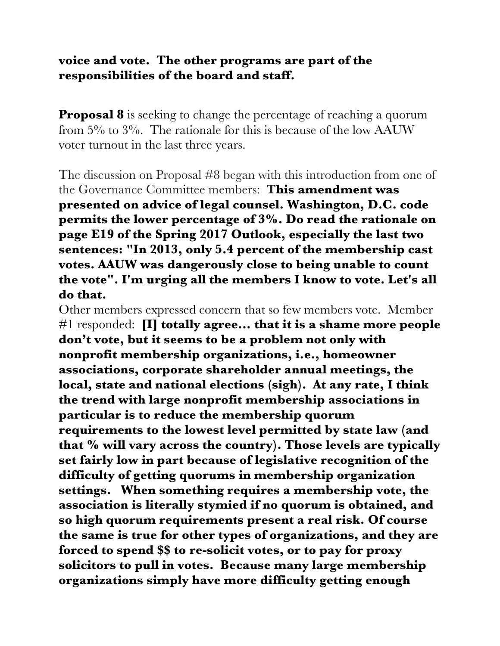## **voice and vote. The other programs are part of the responsibilities of the board and staff.**

**Proposal 8** is seeking to change the percentage of reaching a quorum from  $5\%$  to  $3\%$ . The rationale for this is because of the low AAUW voter turnout in the last three years.

The discussion on Proposal #8 began with this introduction from one of the Governance Committee members: **This amendment was presented on advice of legal counsel. Washington, D.C. code permits the lower percentage of 3%. Do read the rationale on page E19 of the Spring 2017 Outlook, especially the last two sentences: "In 2013, only 5.4 percent of the membership cast votes. AAUW was dangerously close to being unable to count the vote". I'm urging all the members I know to vote. Let's all do that.**

Other members expressed concern that so few members vote. Member #1 responded: **[I] totally agree… that it is a shame more people don't vote, but it seems to be a problem not only with nonprofit membership organizations, i.e., homeowner associations, corporate shareholder annual meetings, the local, state and national elections (sigh). At any rate, I think the trend with large nonprofit membership associations in particular is to reduce the membership quorum requirements to the lowest level permitted by state law (and that % will vary across the country). Those levels are typically set fairly low in part because of legislative recognition of the difficulty of getting quorums in membership organization settings. When something requires a membership vote, the association is literally stymied if no quorum is obtained, and so high quorum requirements present a real risk. Of course the same is true for other types of organizations, and they are forced to spend \$\$ to re-solicit votes, or to pay for proxy solicitors to pull in votes. Because many large membership organizations simply have more difficulty getting enough**